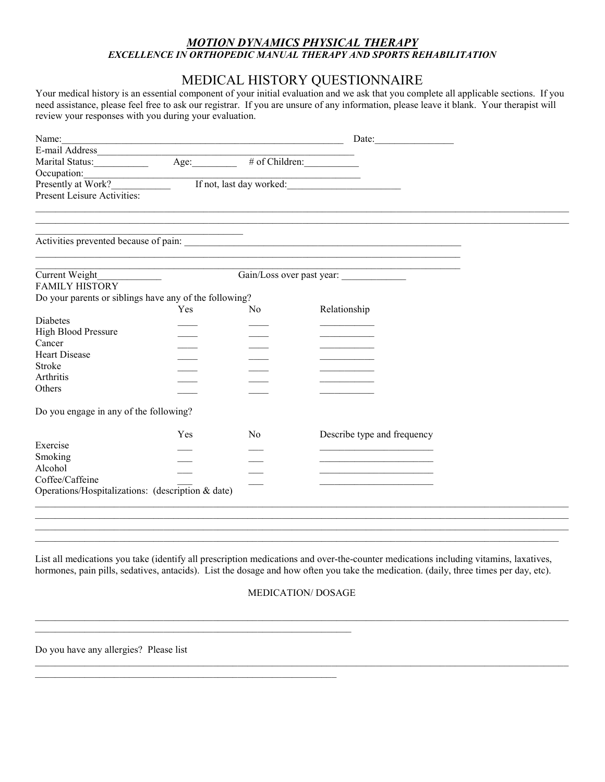### *MOTION DYNAMICS PHYSICAL THERAPY EXCELLENCE IN ORTHOPEDIC MANUAL THERAPY AND SPORTS REHABILITATION*

# MEDICAL HISTORY QUESTIONNAIRE

Your medical history is an essential component of your initial evaluation and we ask that you complete all applicable sections. If you need assistance, please feel free to ask our registrar. If you are unsure of any information, please leave it blank. Your therapist will review your responses with you during your evaluation.

| Name:                                                  | <u> 1980 - Jan James James James James James James James James James James James James James James James James J</u>  |                | Date: $\qquad \qquad \qquad$                                                                                                                                                                                                         |  |
|--------------------------------------------------------|-----------------------------------------------------------------------------------------------------------------------|----------------|--------------------------------------------------------------------------------------------------------------------------------------------------------------------------------------------------------------------------------------|--|
|                                                        |                                                                                                                       |                |                                                                                                                                                                                                                                      |  |
|                                                        |                                                                                                                       |                | $\overline{\# \text{ of Children:}}$                                                                                                                                                                                                 |  |
| Occupation:                                            |                                                                                                                       |                |                                                                                                                                                                                                                                      |  |
| Presently at Work?                                     |                                                                                                                       |                | If not, last day worked:                                                                                                                                                                                                             |  |
| Present Leisure Activities:                            |                                                                                                                       |                |                                                                                                                                                                                                                                      |  |
|                                                        |                                                                                                                       |                |                                                                                                                                                                                                                                      |  |
|                                                        | <u> 1989 - Johann John Stoff, deutscher Stoffen und der Stoffen und der Stoffen und der Stoffen und der Stoffen u</u> |                |                                                                                                                                                                                                                                      |  |
|                                                        |                                                                                                                       |                |                                                                                                                                                                                                                                      |  |
|                                                        |                                                                                                                       |                | <u> 1989 - Johann Stoff, amerikansk politiker (d. 1989)</u>                                                                                                                                                                          |  |
| Current Weight______________<br><b>FAMILY HISTORY</b>  |                                                                                                                       |                | Gain/Loss over past year:                                                                                                                                                                                                            |  |
| Do your parents or siblings have any of the following? |                                                                                                                       |                |                                                                                                                                                                                                                                      |  |
|                                                        | Yes                                                                                                                   | No             | Relationship                                                                                                                                                                                                                         |  |
| <b>Diabetes</b>                                        |                                                                                                                       |                |                                                                                                                                                                                                                                      |  |
| <b>High Blood Pressure</b>                             |                                                                                                                       |                |                                                                                                                                                                                                                                      |  |
| Cancer                                                 |                                                                                                                       |                |                                                                                                                                                                                                                                      |  |
| <b>Heart Disease</b>                                   |                                                                                                                       |                |                                                                                                                                                                                                                                      |  |
| <b>Stroke</b>                                          |                                                                                                                       |                |                                                                                                                                                                                                                                      |  |
| Arthritis                                              |                                                                                                                       |                |                                                                                                                                                                                                                                      |  |
| Others                                                 |                                                                                                                       |                |                                                                                                                                                                                                                                      |  |
| Do you engage in any of the following?                 |                                                                                                                       |                |                                                                                                                                                                                                                                      |  |
|                                                        | Yes                                                                                                                   | N <sub>0</sub> | Describe type and frequency                                                                                                                                                                                                          |  |
| Exercise                                               |                                                                                                                       |                |                                                                                                                                                                                                                                      |  |
| Smoking                                                |                                                                                                                       |                | the control of the control of the control of the control of the control of                                                                                                                                                           |  |
| Alcohol                                                |                                                                                                                       |                | <u> 1950 - Johann John Harry Harry Harry Harry Harry Harry Harry Harry Harry Harry Harry Harry Harry Harry Harry Harry Harry Harry Harry Harry Harry Harry Harry Harry Harry Harry Harry Harry Harry Harry Harry Harry Harry Har</u> |  |
| Coffee/Caffeine                                        |                                                                                                                       |                |                                                                                                                                                                                                                                      |  |
| Operations/Hospitalizations: (description & date)      |                                                                                                                       |                |                                                                                                                                                                                                                                      |  |
|                                                        |                                                                                                                       |                |                                                                                                                                                                                                                                      |  |
|                                                        |                                                                                                                       |                |                                                                                                                                                                                                                                      |  |
|                                                        |                                                                                                                       |                |                                                                                                                                                                                                                                      |  |

List all medications you take (identify all prescription medications and over-the-counter medications including vitamins, laxatives, hormones, pain pills, sedatives, antacids). List the dosage and how often you take the medication. (daily, three times per day, etc).

#### MEDICATION/ DOSAGE

 $\_$  , and the state of the state of the state of the state of the state of the state of the state of the state of the state of the state of the state of the state of the state of the state of the state of the state of the

 $\mathcal{L}_\text{max} = \frac{1}{2} \sum_{i=1}^n \mathcal{L}_\text{max} = \frac{1}{2} \sum_{i=1}^n \mathcal{L}_\text{max} = \frac{1}{2} \sum_{i=1}^n \mathcal{L}_\text{max} = \frac{1}{2} \sum_{i=1}^n \mathcal{L}_\text{max} = \frac{1}{2} \sum_{i=1}^n \mathcal{L}_\text{max} = \frac{1}{2} \sum_{i=1}^n \mathcal{L}_\text{max} = \frac{1}{2} \sum_{i=1}^n \mathcal{L}_\text{max} = \frac{1}{2} \sum_{i=$ 

Do you have any allergies? Please list

 $\_$  , and the set of the set of the set of the set of the set of the set of the set of the set of the set of the set of the set of the set of the set of the set of the set of the set of the set of the set of the set of th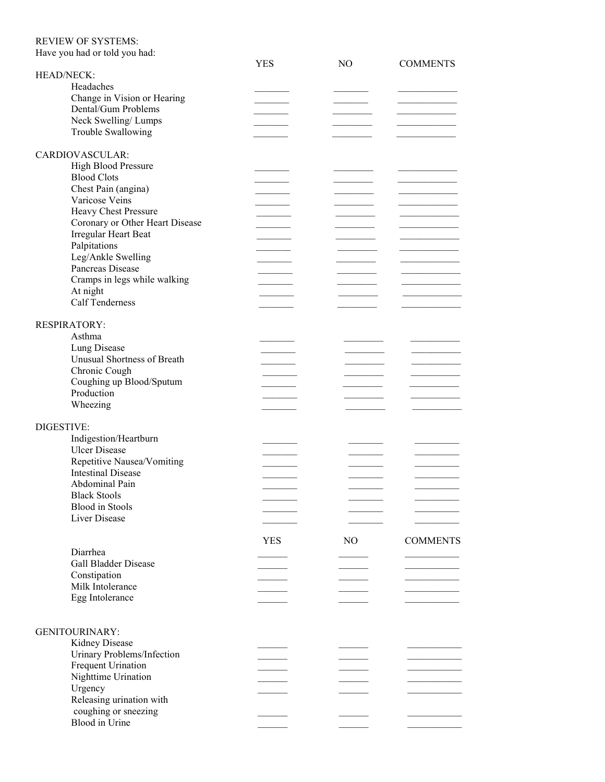#### REVIEW OF SYSTEMS:

| Have you had or told you had:   | <b>YES</b> | N <sub>O</sub> | <b>COMMENTS</b> |
|---------------------------------|------------|----------------|-----------------|
| <b>HEAD/NECK:</b>               |            |                |                 |
| Headaches                       |            |                |                 |
| Change in Vision or Hearing     |            |                |                 |
| Dental/Gum Problems             |            |                |                 |
| Neck Swelling/Lumps             |            |                |                 |
| Trouble Swallowing              |            |                |                 |
|                                 |            |                |                 |
| CARDIOVASCULAR:                 |            |                |                 |
| High Blood Pressure             |            |                |                 |
| <b>Blood Clots</b>              |            |                |                 |
| Chest Pain (angina)             |            |                |                 |
| Varicose Veins                  |            |                |                 |
| <b>Heavy Chest Pressure</b>     |            |                |                 |
| Coronary or Other Heart Disease |            |                |                 |
| Irregular Heart Beat            |            |                |                 |
| Palpitations                    |            |                |                 |
| Leg/Ankle Swelling              |            |                |                 |
| Pancreas Disease                |            |                |                 |
| Cramps in legs while walking    |            |                |                 |
| At night                        |            |                |                 |
| <b>Calf Tenderness</b>          |            |                |                 |
|                                 |            |                |                 |
| <b>RESPIRATORY:</b>             |            |                |                 |
| Asthma                          |            |                |                 |
| Lung Disease                    |            |                |                 |
| Unusual Shortness of Breath     |            |                |                 |
| Chronic Cough                   |            |                |                 |
| Coughing up Blood/Sputum        |            |                |                 |
| Production                      |            |                |                 |
| Wheezing                        |            |                |                 |
|                                 |            |                |                 |
| DIGESTIVE:                      |            |                |                 |
| Indigestion/Heartburn           |            |                |                 |
| <b>Ulcer Disease</b>            |            |                |                 |
| Repetitive Nausea/Vomiting      |            |                |                 |
| <b>Intestinal Disease</b>       |            |                |                 |
| Abdominal Pain                  |            |                |                 |
| <b>Black Stools</b>             |            |                |                 |
| <b>Blood</b> in Stools          |            |                |                 |
| Liver Disease                   |            |                |                 |
|                                 |            |                |                 |
|                                 | <b>YES</b> | NO             | <b>COMMENTS</b> |
| Diarrhea                        |            |                |                 |
| <b>Gall Bladder Disease</b>     |            |                |                 |
| Constipation                    |            |                |                 |
| Milk Intolerance                |            |                |                 |
| Egg Intolerance                 |            |                |                 |
|                                 |            |                |                 |
|                                 |            |                |                 |
| <b>GENITOURINARY:</b>           |            |                |                 |
| Kidney Disease                  |            |                |                 |
| Urinary Problems/Infection      |            |                |                 |
| Frequent Urination              |            |                |                 |
| Nighttime Urination             |            |                |                 |
| Urgency                         |            |                |                 |
| Releasing urination with        |            |                |                 |
| coughing or sneezing            |            |                |                 |
| Blood in Urine                  |            |                |                 |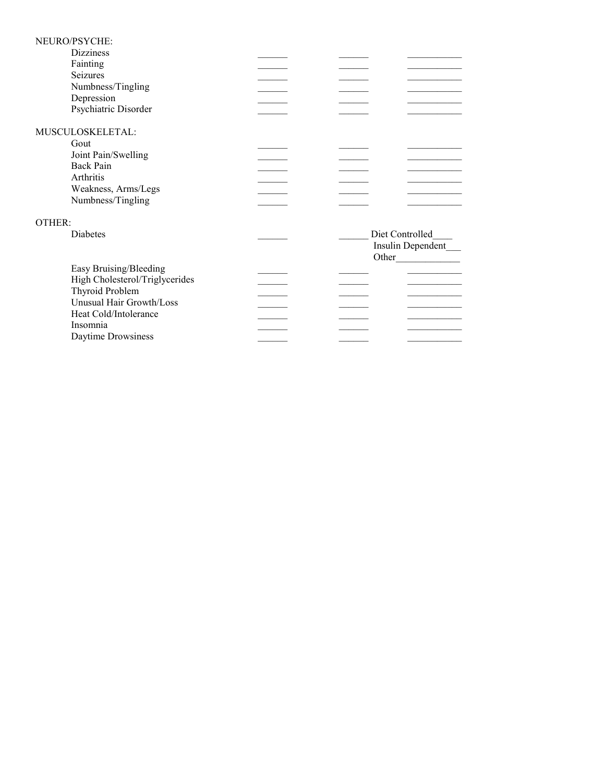|        | NEURO/PSYCHE:                  |  |                   |
|--------|--------------------------------|--|-------------------|
|        | <b>Dizziness</b>               |  |                   |
|        | Fainting                       |  |                   |
|        | Seizures                       |  |                   |
|        | Numbness/Tingling              |  |                   |
|        | Depression                     |  |                   |
|        | Psychiatric Disorder           |  |                   |
|        |                                |  |                   |
|        | MUSCULOSKELETAL:               |  |                   |
|        | Gout                           |  |                   |
|        | Joint Pain/Swelling            |  |                   |
|        | Back Pain                      |  |                   |
|        | Arthritis                      |  |                   |
|        | Weakness, Arms/Legs            |  |                   |
|        | Numbness/Tingling              |  |                   |
|        |                                |  |                   |
| OTHER: |                                |  |                   |
|        | Diabetes                       |  | Diet Controlled   |
|        |                                |  | Insulin Dependent |
|        |                                |  | Other             |
|        | Easy Bruising/Bleeding         |  |                   |
|        | High Cholesterol/Triglycerides |  |                   |
|        | Thyroid Problem                |  |                   |
|        | Unusual Hair Growth/Loss       |  |                   |
|        | Heat Cold/Intolerance          |  |                   |
|        | Insomnia                       |  |                   |
|        | Daytime Drowsiness             |  |                   |
|        |                                |  |                   |